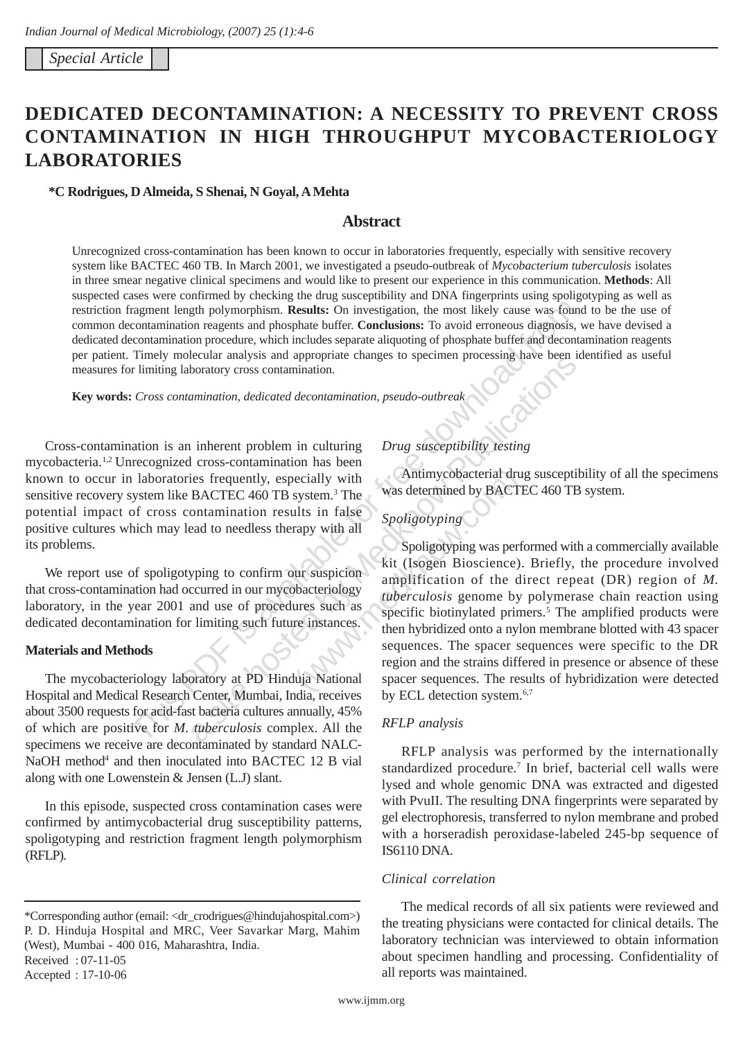*Special Article* 

# **DEDICATED DECONTAMINATION: A NECESSITY TO PREVENT CROSS CONTAMINATION IN HIGH THROUGHPUT MYCOBACTERIOLOGY LABORATORIES**

### **\*C Rodrigues, D Almeida, S Shenai, N Goyal, A Mehta**

# **Abstract**

ragment length polymorphism. **Results:** On investigation, the most likely cause was four-contamination reagents and phosphate buffer. Conclusions: To avoid erroneous diagnosis, concommination procedure, which includes sep Unrecognized cross-contamination has been known to occur in laboratories frequently, especially with sensitive recovery system like BACTEC 460 TB. In March 2001, we investigated a pseudo-outbreak of *Mycobacterium tuberculosis* isolates in three smear negative clinical specimens and would like to present our experience in this communication. **Methods**: All suspected cases were confirmed by checking the drug susceptibility and DNA fingerprints using spoligotyping as well as restriction fragment length polymorphism. **Results:** On investigation, the most likely cause was found to be the use of common decontamination reagents and phosphate buffer. **Conclusions:** To avoid erroneous diagnosis, we have devised a dedicated decontamination procedure, which includes separate aliquoting of phosphate buffer and decontamination reagents per patient. Timely molecular analysis and appropriate changes to specimen processing have been identified as useful measures for limiting laboratory cross contamination.

**Key words:** *Cross contamination, dedicated decontamination, pseudo-outbreak* 

Cross-contamination is an inherent problem in culturing *Drug susceptibility testing*  mycobacteria.1,2 Unrecognized cross-contamination has been known to occur in laboratories frequently, especially with Antimycobacterial drug susceptibility of all the specimens sensitive recovery system like BACTEC 460 TB system.<sup>3</sup> The potential impact of cross contamination results in false *Spoligotyping* positive cultures which may lead to needless therapy with all its problems.

that cross-contamination had occurred in our mycobacteriology<br>laboratory, in the year 2001 and use of procedures such as specific biotinylated primers.<sup>5</sup> The amplified products were<br>dedicated decontamination for limiting

Hospital and Medical Research Center, Mumbai, India, receives by ECL detection system.<sup>6,7</sup> about 3500 requests for acid-fast bacteria cultures annually, 45% of which are positive for *M. tuberculosis* complex. All the *RFLP analysis*  specimens we receive are decontaminated by standard NALC-<br>RFLP analysis was performed by the internationally NaOH method<sup>4</sup> and then inoculated into BACTEC 12 B vial along with one Lowenstein & Jensen (L.J) slant.

In this episode, suspected cross contamination cases were confirmed by antimycobacterial drug susceptibility patterns, spoligotyping and restriction fragment length polymorphism (RFLP).

Accepted : 17-10-06

was determined by BACTEC 460 TB system.

Exercise an analysis and appropriate changes to specified processing have been in<br>
amination, dedicated decontamination, pseudo-outbreak<br>
inherent problem in culturing Drug susceptibility resting<br>
its frequently, especiall or ally with<br>
system.<sup>3</sup> The was determined by BACTEC<br>
ults in false<br>
spoligotyping<br>
rapy with all<br>
Spoligotyping was performulated prime<br>
were such as<br>
where the direct of the direct of the direct<br>
phacteriology<br>
ures suc Spoligotyping was performed with a commercially available We report use of spoligotyping to confirm our suspicion<br>that cross-contamination had occurred in our mycobacteriology<br>the method of the direct repeat (DR) region of *M*.<br>that cross-contamination had occurred in our mycobac then hybridized onto a nylon membrane blotted with 43 spacer. **Materials and Methods** sequences. The spacer sequences were specific to the DR region and the strains differed in presence or absence of these The mycobacteriology laboratory at PD Hinduja National spacer sequences. The results of hybridization were detected

standardized procedure.<sup>7</sup> In brief, bacterial cell walls were lysed and whole genomic DNA was extracted and digested with PvuII. The resulting DNA fingerprints were separated by gel electrophoresis, transferred to nylon membrane and probed with a horseradish peroxidase-labeled 245-bp sequence of IS6110 DNA.

## *Clinical correlation*

The medical records of all six patients were reviewed and the treating physicians were contacted for clinical details. The laboratory technician was interviewed to obtain information about specimen handling and processing. Confidentiality of all reports was maintained.

<sup>\*</sup>Corresponding author (email: <dr\_crodrigues@hindujahospital.com>) P. D. Hinduja Hospital and MRC, Veer Savarkar Marg, Mahim (West), Mumbai - 400 016, Maharashtra, India. Received : 07-11-05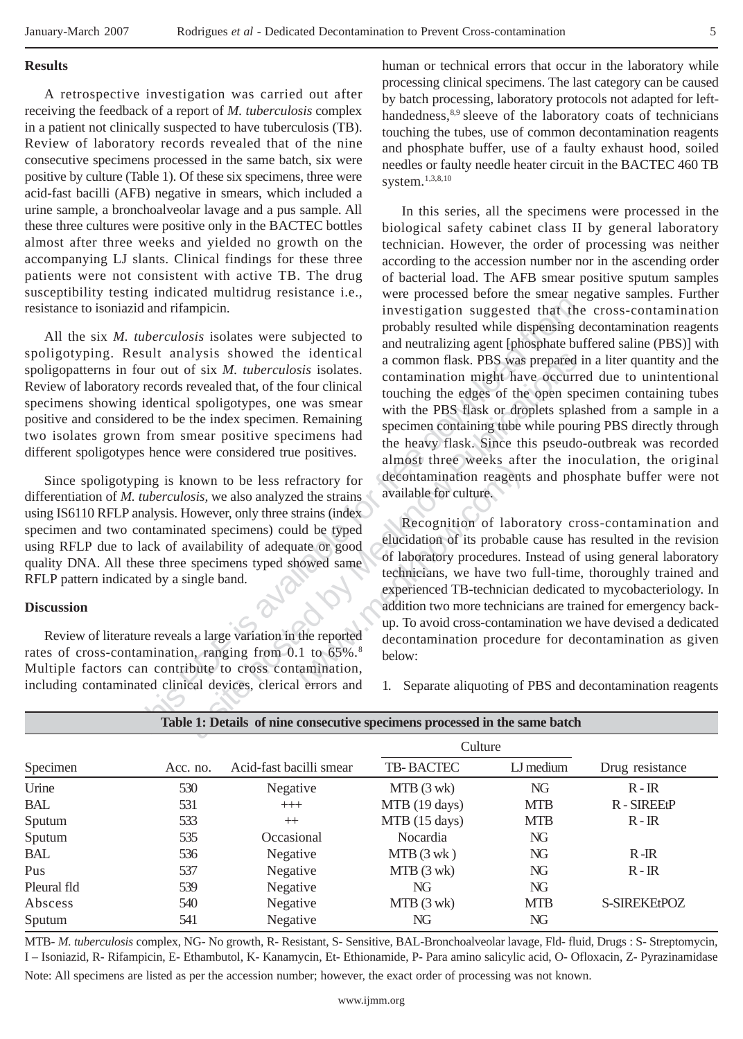**Results** 

A retrospective investigation was carried out after receiving the feedback of a report of *M. tuberculosis* complex in a patient not clinically suspected to have tuberculosis (TB). Review of laboratory records revealed that of the nine consecutive specimens processed in the same batch, six were positive by culture (Table 1). Of these six specimens, three were acid-fast bacilli (AFB) negative in smears, which included a urine sample, a bronchoalveolar lavage and a pus sample. All these three cultures were positive only in the BACTEC bottles almost after three weeks and yielded no growth on the accompanying LJ slants. Clinical findings for these three patients were not consistent with active TB. The drug susceptibility testing indicated multidrug resistance i.e., resistance to isoniazid and rifampicin.

All the six *M. tuberculosis* isolates were subjected to spoligotyping. Result analysis showed the identical spoligopatterns in four out of six *M. tuberculosis* isolates. Review of laboratory records revealed that, of the four clinical specimens showing identical spoligotypes, one was smear positive and considered to be the index specimen. Remaining two isolates grown from smear positive specimens had different spoligotypes hence were considered true positives.

Since spoligotyping is known to be less refractory for differentiation of *M. tuberculosis,* we also analyzed the strains using IS6110 RFLP analysis. However, only three strains (index specimen and two contaminated specimens) could be typed using RFLP due to lack of availability of adequate or good quality DNA. All these three specimens typed showed same RFLP pattern indicated by a single band.

# **Discussion**

Review of literature reveals a large variation in the reported rates of cross-contamination, ranging from 0.1 to 65%.<sup>8</sup> Multiple factors can contribute to cross contamination, including contaminated clinical devices, clerical errors and

human or technical errors that occur in the laboratory while processing clinical specimens. The last category can be caused by batch processing, laboratory protocols not adapted for lefthandedness,<sup>8,9</sup> sleeve of the laboratory coats of technicians touching the tubes, use of common decontamination reagents and phosphate buffer, use of a faulty exhaust hood, soiled needles or faulty needle heater circuit in the BACTEC 460 TB system.1,3,8,10

In this series, all the specimens were processed in the biological safety cabinet class II by general laboratory technician. However, the order of processing was neither according to the accession number nor in the ascending order of bacterial load. The AFB smear positive sputum samples Example the intertake solution of sixthe state and the state of the state of the state of the state of the state of the state of the state of the state of the state of the state of the state of the state of the state of t Later is the internal and the containing the sixter of sixter and the sixter and the sixter and the sixter and the sixter and the sixter spondigion of the sixter spondigion of the sixter and the sixter or considered true were processed before the smear negative samples. Further investigation suggested that the cross-contamination probably resulted while dispensing decontamination reagents and neutralizing agent [phosphate buffered saline (PBS)] with a common flask. PBS was prepared in a liter quantity and the contamination might have occurred due to unintentional touching the edges of the open specimen containing tubes with the PBS flask or droplets splashed from a sample in a specimen containing tube while pouring PBS directly through the heavy flask. Since this pseudo-outbreak was recorded almost three weeks after the inoculation, the original decontamination reagents and phosphate buffer were not available for culture.

tractory for<br>
decontamination reagents<br>
available for culture.<br>
strains (index<br>
ld be typed<br>
ld be typed<br>
Recognition of laboration<br>
elucidation of its probable<br>
of laboratory procedures. In<br>
technicians, we have two<br>
expe Recognition of laboratory cross-contamination and elucidation of its probable cause has resulted in the revision of laboratory procedures. Instead of using general laboratory technicians, we have two full-time, thoroughly trained and experienced TB-technician dedicated to mycobacteriology. In addition two more technicians are trained for emergency backup. To avoid cross-contamination we have devised a dedicated decontamination procedure for decontamination as given below:

1. Separate aliquoting of PBS and decontamination reagents

|          |                         | Culture       |            |                 |
|----------|-------------------------|---------------|------------|-----------------|
| Acc. no. | Acid-fast bacilli smear | TB-BACTEC     | LJ medium  | Drug resistance |
| 530      | Negative                | $MTB(3$ wk)   | NG         | $R - IR$        |
| 531      | $+++$                   | MTB (19 days) | <b>MTB</b> | R-SIREEtP       |
| 533      | $^{+}$                  | MTB (15 days) | <b>MTB</b> | $R - IR$        |
| 535      | Occasional              | Nocardia      | NG         |                 |
| 536      | Negative                | $MTB(3$ wk)   | NG         | $R - IR$        |
| 537      | Negative                | $MTB(3$ wk)   | NG         | $R - IR$        |
| 539      | Negative                | NG            | NG         |                 |
| 540      | Negative                | $MTB(3$ wk)   | <b>MTB</b> | S-SIREKEtPOZ    |
| 541      | Negative                | NG            | NG         |                 |
|          |                         |               |            |                 |

**Table 1: Details of nine consecutive specimens processed in the same batch** 

MTB- *M. tuberculosis* complex, NG- No growth, R- Resistant, S- Sensitive, BAL-Bronchoalveolar lavage, Fld- fluid, Drugs : S- Streptomycin, I – Isoniazid, R- Rifampicin, E- Ethambutol, K- Kanamycin, Et- Ethionamide, P- Para amino salicylic acid, O- Ofloxacin, Z- Pyrazinamidase Note: All specimens are listed as per the accession number; however, the exact order of processing was not known.